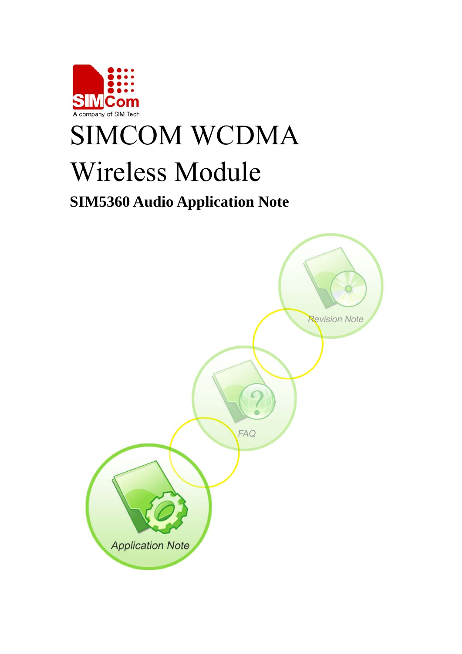

# SIMCOM WCDMA Wireless Module

# **SIM5360 Audio Application Note**

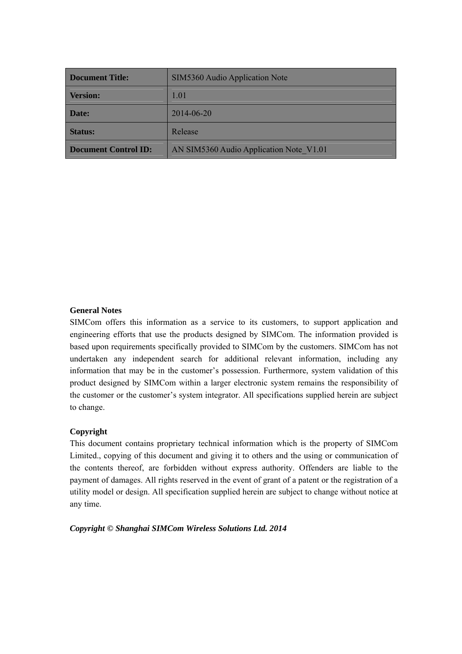| Document Title:      | SIM5360 Audio Application Note          |
|----------------------|-----------------------------------------|
| <b>Version:</b>      | 1.01                                    |
| <b>Date:</b>         | 2014-06-20                              |
| <b>Status:</b>       | Release                                 |
| Document Control ID: | AN SIM5360 Audio Application Note V1.01 |

#### **General Notes**

SIMCom offers this information as a service to its customers, to support application and engineering efforts that use the products designed by SIMCom. The information provided is based upon requirements specifically provided to SIMCom by the customers. SIMCom has not undertaken any independent search for additional relevant information, including any information that may be in the customer's possession. Furthermore, system validation of this product designed by SIMCom within a larger electronic system remains the responsibility of the customer or the customer's system integrator. All specifications supplied herein are subject to change.

#### **Copyright**

This document contains proprietary technical information which is the property of SIMCom Limited., copying of this document and giving it to others and the using or communication of the contents thereof, are forbidden without express authority. Offenders are liable to the payment of damages. All rights reserved in the event of grant of a patent or the registration of a utility model or design. All specification supplied herein are subject to change without notice at any time.

*Copyright © Shanghai SIMCom Wireless Solutions Ltd. 2014*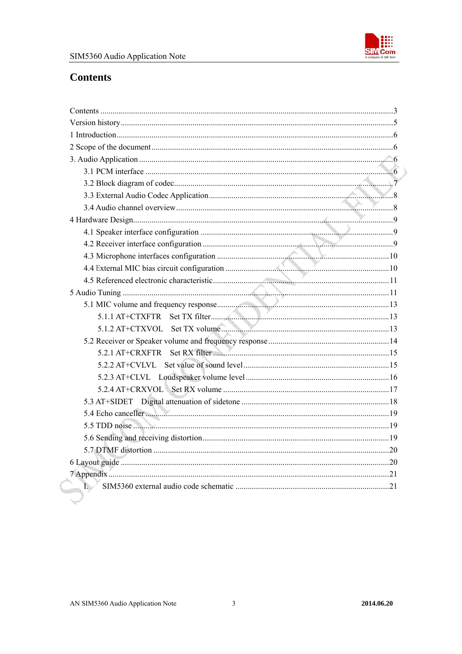

# <span id="page-2-0"></span>**Contents**

| Þ |  |
|---|--|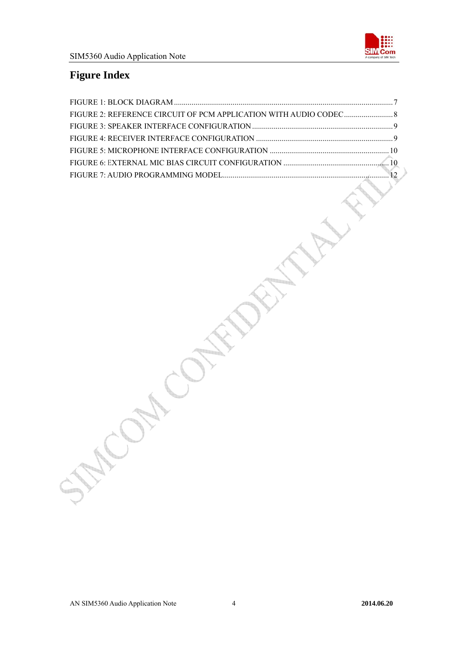

# **Figure Index**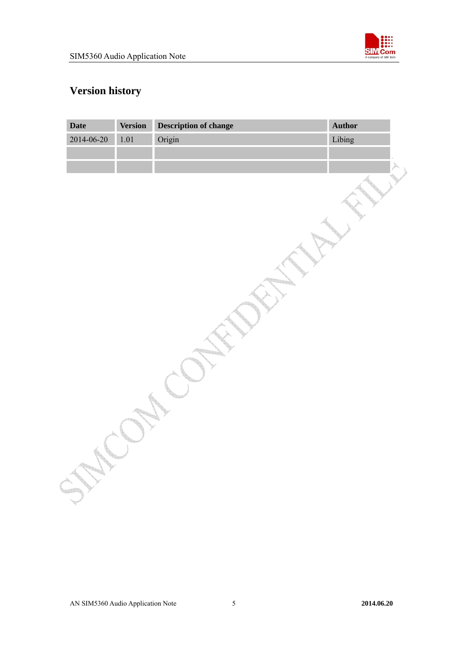

# <span id="page-4-0"></span>**Version history**

| Date       | <b>Version</b> | <b>Description of change</b> | Author |  |
|------------|----------------|------------------------------|--------|--|
| 2014-06-20 | $1.01\,$       | Origin                       | Libing |  |
|            |                |                              |        |  |
|            |                |                              |        |  |
|            |                |                              |        |  |
|            |                |                              |        |  |
|            |                |                              |        |  |
|            |                |                              |        |  |
|            |                |                              |        |  |
|            |                |                              |        |  |
|            |                |                              |        |  |
|            |                |                              |        |  |
|            |                |                              |        |  |
|            |                |                              |        |  |
|            |                |                              |        |  |
|            |                |                              |        |  |
|            |                |                              |        |  |
|            |                |                              |        |  |
|            |                |                              |        |  |
|            |                |                              |        |  |
|            |                |                              |        |  |
|            |                |                              |        |  |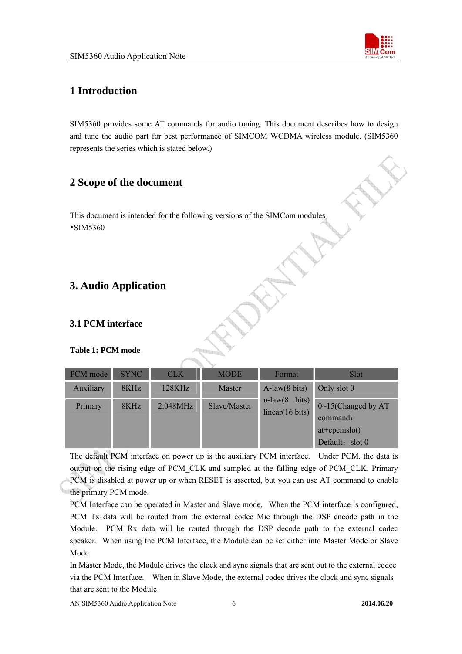

# <span id="page-5-0"></span>**1 Introduction**

SIM5360 provides some AT commands for audio tuning. This document describes how to design and tune the audio part for best performance of SIMCOM WCDMA wireless module. (SIM5360 represents the series which is stated below.)

# **2 Scope of the document**

This document is intended for the following versions of the SIMCom modules •SIM5360

# **3. Audio Application**

# **3.1 PCM interface**

#### **Table 1: PCM mode**

| PCM mode  | <b>SYNC</b> | <b>CLK</b> | <b>MODE</b>  | Format                                         | <b>Slot</b>                                                                  |
|-----------|-------------|------------|--------------|------------------------------------------------|------------------------------------------------------------------------------|
| Auxiliary | 8KHz        | 128KHz     | Master       | $A$ -law $(8 \text{ bits})$                    | Only slot 0                                                                  |
| Primary   | 8KHz        | 2.048MHz   | Slave/Master | $v$ -law $(8 \text{ bits})$<br>linear(16 bits) | $0 \sim 15$ (Changed by AT)<br>command:<br>$at+cpcmslot)$<br>Default: slot 0 |

The default PCM interface on power up is the auxiliary PCM interface. Under PCM, the data is output on the rising edge of PCM\_CLK and sampled at the falling edge of PCM\_CLK. Primary PCM is disabled at power up or when RESET is asserted, but you can use AT command to enable the primary PCM mode.

PCM Interface can be operated in Master and Slave mode. When the PCM interface is configured, PCM Tx data will be routed from the external codec Mic through the DSP encode path in the Module. PCM Rx data will be routed through the DSP decode path to the external codec speaker. When using the PCM Interface, the Module can be set either into Master Mode or Slave Mode.

In Master Mode, the Module drives the clock and sync signals that are sent out to the external codec via the PCM Interface. When in Slave Mode, the external codec drives the clock and sync signals that are sent to the Module.

AN SIM5360 Audio Application Note6 **2014.06.20**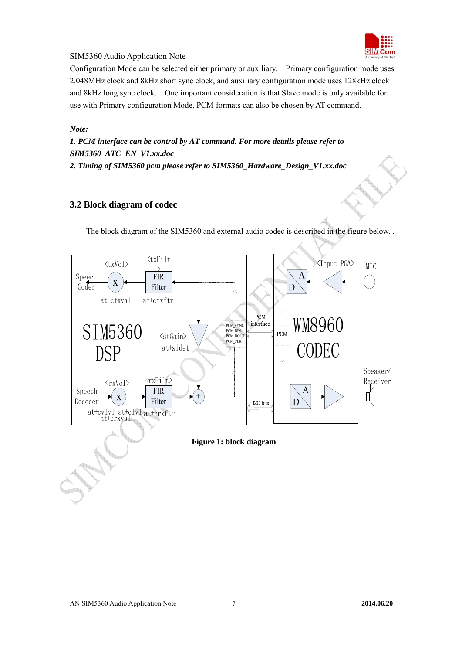

<span id="page-6-0"></span>Configuration Mode can be selected either primary or auxiliary. Primary configuration mode uses 2.048MHz clock and 8kHz short sync clock, and auxiliary configuration mode uses 128kHz clock and 8kHz long sync clock. One important consideration is that Slave mode is only available for use with Primary configuration Mode. PCM formats can also be chosen by AT command.

#### *Note:*

*1. PCM interface can be control by AT command. For more details please refer to SIM5360\_ATC\_EN\_V1.xx.doc* 

*2. Timing of SIM5360 pcm please refer to SIM5360\_Hardware\_Design\_V1.xx.doc* 

#### **3.2 Block diagram of codec**

The block diagram of the SIM5360 and external audio codec is described in the figure below. .

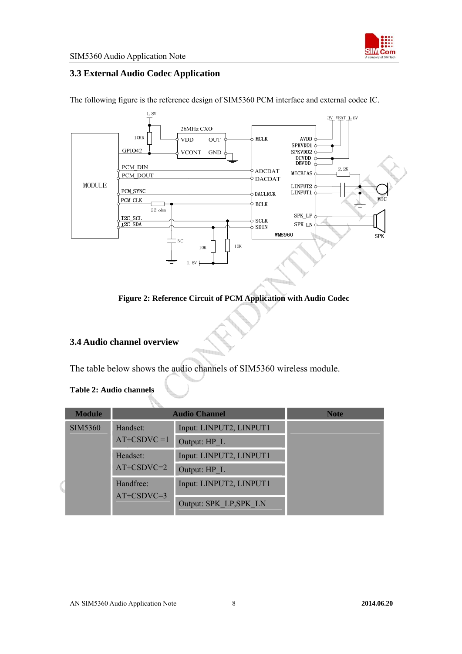

# <span id="page-7-0"></span>**3.3 External Audio Codec Application**

3V\_VBAT\_1,8V 26MHz CXO **10KR VDD** OUT **MCLK** AVDD SPKVDD1<br>SPKVDD2 GPIO42 **VCONT GND** DCVDD<br>DBVDD PCM\_DIN 2. 2K **ADCDAT MICBIAS** PCM DOUT **DACDAT MODULE** LINPUT2 PCM\_SYNC LINPUT1 **DACLRCK** PCM\_CLK **BCLK**  $\overline{22 \text{ ohm}}$ SPK\_LP I<sub>2C</sub> SCL  $SCLK$  $\sqrt{\frac{12C_{\text{SDA}}}{12C_{\text{SDA}}}}$ SPK\_LN  $\overline{\text{SDIN}}$ **WM8960** SPK  $\overline{NC}$  $10K$  $10K$  $1.8V$ 

The following figure is the reference design of SIM5360 PCM interface and external codec IC.

**Figure 2: Reference Circuit of PCM Application with Audio Codec** 

# **3.4 Audio channel overview**

The table below shows the audio channels of SIM5360 wireless module.

#### **Table 2: Audio channels**

| <b>Module</b>  |                            | <b>Audio Channel</b>                              | <b>Note</b> |
|----------------|----------------------------|---------------------------------------------------|-------------|
| <b>SIM5360</b> | Handset:<br>$AT+CSDVC = 1$ | Input: LINPUT2, LINPUT1<br>Output: HP L           |             |
|                | Headset:<br>$AT+CSDVC=2$   | Input: LINPUT2, LINPUT1<br>Output: HP L           |             |
|                | Handfree:<br>$AT+CSDVC=3$  | Input: LINPUT2, LINPUT1<br>Output: SPK LP, SPK LN |             |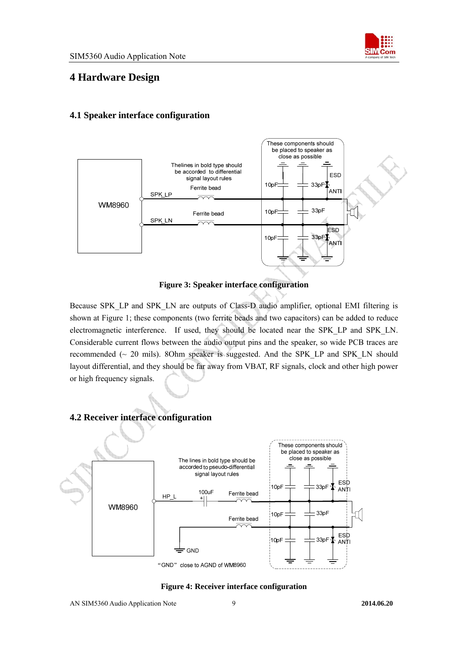

# <span id="page-8-0"></span>**4 Hardware Design**

# **4.1 Speaker interface configuration**



**Figure 3: Speaker interface configuration** 

Because SPK\_LP and SPK\_LN are outputs of Class-D audio amplifier, optional EMI filtering is shown at Figure 1; these components (two ferrite beads and two capacitors) can be added to reduce electromagnetic interference. If used, they should be located near the SPK\_LP and SPK\_LN. Considerable current flows between the audio output pins and the speaker, so wide PCB traces are recommended  $\sim$  20 mils). 8Ohm speaker is suggested. And the SPK LP and SPK LN should layout differential, and they should be far away from VBAT, RF signals, clock and other high power or high frequency signals.

# **4.2 Receiver interface configuration**



**Figure 4: Receiver interface configuration**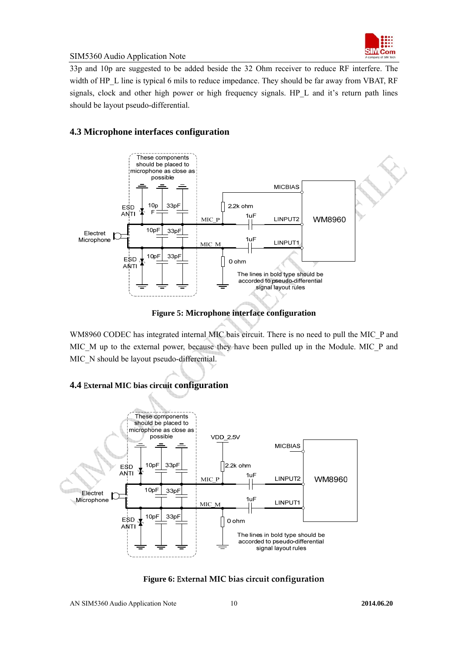

<span id="page-9-0"></span>33p and 10p are suggested to be added beside the 32 Ohm receiver to reduce RF interfere. The width of HP\_L line is typical 6 mils to reduce impedance. They should be far away from VBAT, RF signals, clock and other high power or high frequency signals. HP L and it's return path lines should be layout pseudo-differential.

# **4.3 Microphone interfaces configuration**



**Figure 5: Microphone interface configuration** 

WM8960 CODEC has integrated internal MIC bais circuit. There is no need to pull the MIC\_P and MIC\_M up to the external power, because they have been pulled up in the Module. MIC\_P and MIC N should be layout pseudo-differential.



#### **4.4** E**xternal MIC bias circuit configuration**

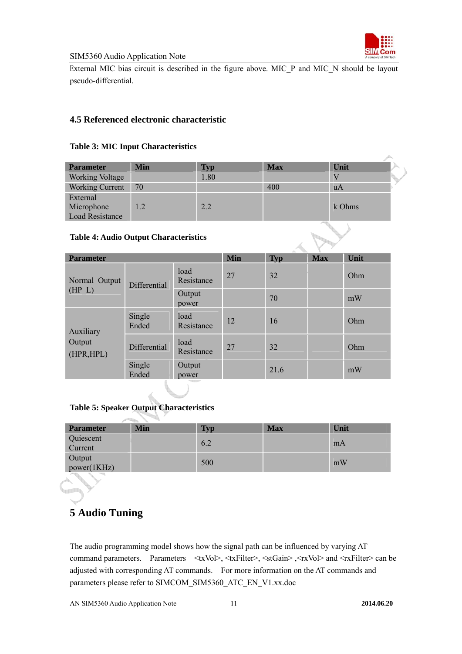

<span id="page-10-0"></span>External MIC bias circuit is described in the figure above. MIC\_P and MIC\_N should be layout pseudo-differential.

### **4.5 Referenced electronic characteristic**

#### **Table 3: MIC Input Characteristics**

| <b>Parameter</b>       | <b>Min</b> | Typ  | <b>Max</b> | Unit   |
|------------------------|------------|------|------------|--------|
| <b>Working Voltage</b> |            | 1.80 |            |        |
| <b>Working Current</b> | 70         |      | 400        | uA     |
| External               |            |      |            |        |
| Microphone             | 1.2        | 2.2  |            | k Ohms |
| Load Resistance        |            |      |            |        |

#### **Table 4: Audio Output Characteristics**

| <b>Parameter</b>     |                 |                    | <b>Min</b> | <b>Typ</b> | <b>Max</b> | Unit |
|----------------------|-----------------|--------------------|------------|------------|------------|------|
| Normal Output        | Differential    | load<br>Resistance | 27         | 32         |            | Ohm  |
| $(HP_L)$             |                 | Output<br>power    |            | 70         |            | mW   |
| Auxiliary            | Single<br>Ended | load<br>Resistance | 12         | 16         |            | Ohm  |
| Output<br>(HPR, HPL) | Differential    | load<br>Resistance | 27         | 32         |            | Ohm  |
|                      | Single<br>Ended | Output<br>power    |            | 21.6       |            | mW   |

#### **Table 5: Speaker Output Characteristics**

| <b>Parameter</b>      | Min | <b>Typ</b> | <b>Max</b> | Unit |
|-----------------------|-----|------------|------------|------|
| Quiescent<br>Current  |     | 6.2        |            | mA   |
| Output<br>power(1KHz) |     | 500        |            | mW   |

# **5 Audio Tuning**

The audio programming model shows how the signal path can be influenced by varying AT command parameters. Parameters <txVol>, <txFilter>, <stGain>, <rxVol> and <txFilter> can be adjusted with corresponding AT commands. For more information on the AT commands and parameters please refer to SIMCOM\_SIM5360\_ATC\_EN\_V1.xx.doc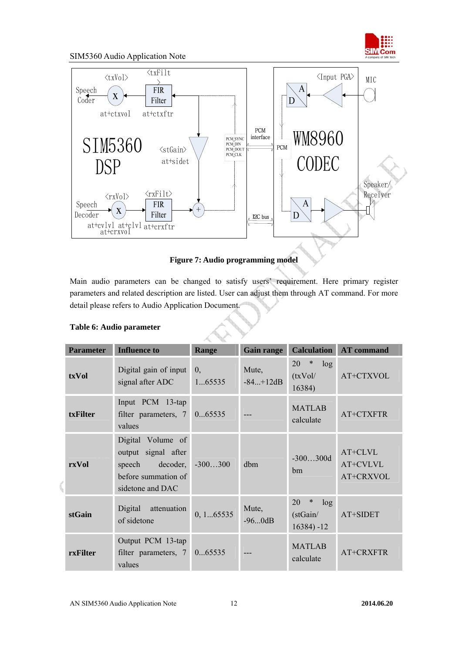

<span id="page-11-0"></span>

**Figure 7: Audio programming model** 

Main audio parameters can be changed to satisfy users' requirement. Here primary register parameters and related description are listed. User can adjust them through AT command. For more detail please refers to Audio Application Document.

| <b>Parameter</b> | <b>Influence to</b>                                                                                    | Range                      | <b>Gain range</b>   | <b>Calculation</b>                               | <b>AT</b> command                |
|------------------|--------------------------------------------------------------------------------------------------------|----------------------------|---------------------|--------------------------------------------------|----------------------------------|
| txVol            | Digital gain of input<br>signal after ADC                                                              | $\overline{0}$ .<br>165535 | Mute,<br>$-84+12dB$ | 20<br>$\ast$<br>log<br>(txVol/<br>16384)         | AT+CTXVOL                        |
| txFilter         | Input PCM 13-tap<br>filter parameters, 7<br>values                                                     | 065535                     |                     | <b>MATLAB</b><br>calculate                       | AT+CTXFTR                        |
| rxVol            | Digital Volume of<br>output signal after<br>speech decoder,<br>before summation of<br>sidetone and DAC | $-300300$                  | dbm                 | $-300300d$<br>hm                                 | AT+CLVL<br>AT+CVLVL<br>AT+CRXVOL |
| stGain           | attenuation<br>Digital<br>of sidetone                                                                  | 0, 165535                  | Mute,<br>$-960dB$   | 20<br>$\ast$<br>log<br>(stGain/<br>$16384$ ) -12 | AT+SIDET                         |
| rxFilter         | Output PCM 13-tap<br>filter parameters, 7<br>values                                                    | 065535                     |                     | <b>MATLAB</b><br>calculate                       | AT+CRXFTR                        |

#### **Table 6: Audio parameter**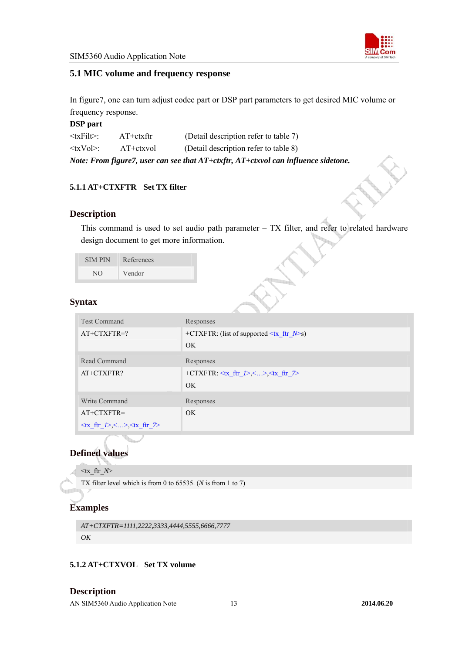

#### <span id="page-12-0"></span>**5.1 MIC volume and frequency response**

In figure7, one can turn adjust codec part or DSP part parameters to get desired MIC volume or frequency response.

#### **DSP part**

| $\langle \text{txFil}\rangle$ : | $AT+ctx$ ftr | (Detail description refer to table 7)                                              |
|---------------------------------|--------------|------------------------------------------------------------------------------------|
| $\langle$ txVol>:               | AT+ctxvol    | (Detail description refer to table 8)                                              |
|                                 |              | Note: From figure7, user can see that AT+ctxftr, AT+ctxvol can influence sidetone. |

#### **5.1.1 AT+CTXFTR Set TX filter**

#### **Description**

This command is used to set audio path parameter  $-$  TX filter, and refer to related hardware design document to get more information.

| <b>SIMPIN</b> | References |
|---------------|------------|
| NO.           | Vendor     |

#### **Syntax**

| <b>PERSONAL</b>                                                                                         |                                                                                                          |  |
|---------------------------------------------------------------------------------------------------------|----------------------------------------------------------------------------------------------------------|--|
| <b>Test Command</b>                                                                                     | Responses                                                                                                |  |
| $AT+CTXFTR=?$                                                                                           | +CTXFTR: (list of supported $\leq$ tx ftr $N$ >s)                                                        |  |
|                                                                                                         | <b>OK</b>                                                                                                |  |
| Read Command                                                                                            | Responses                                                                                                |  |
| AT+CTXFTR?                                                                                              | +CTXFTR: $\langle tx \text{ ftr } I \rangle$ , $\langle x \rangle$ , $\langle tx \text{ ftr } I \rangle$ |  |
|                                                                                                         | OK                                                                                                       |  |
| Write Command                                                                                           | Responses                                                                                                |  |
| $AT+CTXFTR=$                                                                                            | OK.                                                                                                      |  |
| $\langle \text{tx } \text{ftr } \rangle > \langle \dots \rangle \langle \text{tx } \text{ftr } \rangle$ |                                                                                                          |  |

# **Defined values**

 $\langle x \cdot \text{ftr} N \rangle$ 

TX filter level which is from 0 to 65535. (*N* is from 1 to 7)

# **Examples**

```
AT+CTXFTR=1111,2222,3333,4444,5555,6666,7777 
OK
```
#### **5.1.2 AT+CTXVOL Set TX volume**

#### **Description**

AN SIM5360 Audio Application Note13 **2014.06.20**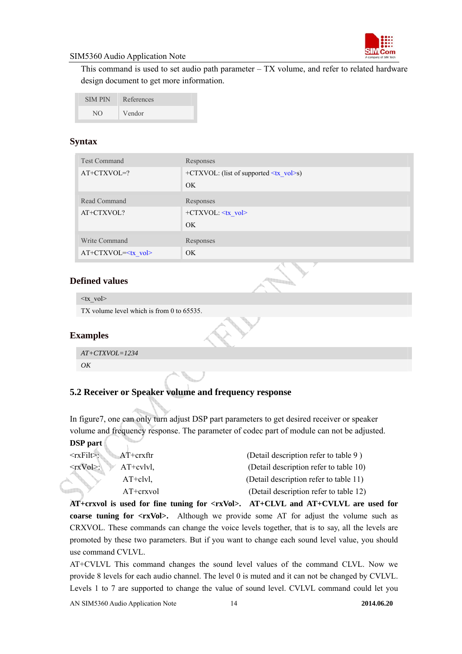

<span id="page-13-0"></span>This command is used to set audio path parameter – TX volume, and refer to related hardware design document to get more information.

| <b>SIMPIN</b> | References |
|---------------|------------|
| N()           | Vendor     |

#### **Syntax**

| <b>Test Command</b>         | Responses                                                         |
|-----------------------------|-------------------------------------------------------------------|
| $AT+CTXVOL=?$               | $+CTXVOL$ : (list of supported $\langle tx \space vol \rangle$ s) |
|                             | OK                                                                |
| Read Command                | Responses                                                         |
| AT+CTXVOL?                  | $+CTXVOL: \leq tx$ vol>                                           |
|                             | OK                                                                |
| Write Command               | Responses                                                         |
| AT+CTXVOL= <tx vol=""></tx> | OK                                                                |

#### **Defined values**

 $\langle tx \ v_0 \rangle$ 

TX volume level which is from 0 to 65535.

#### **Examples**

```
AT+CTXVOL=1234 
OK
```
#### **5.2 Receiver or Speaker volume and frequency response**

In figure7, one can only turn adjust DSP part parameters to get desired receiver or speaker volume and frequency response. The parameter of codec part of module can not be adjusted. **DSP part** 

| -------                           |             |                                        |
|-----------------------------------|-------------|----------------------------------------|
| $\langle \text{rxFilt} \rangle$ : | AT+crxftr   | (Detail description refer to table 9)  |
| $<$ rxVol>:                       | $AT+cv1vl.$ | (Detail description refer to table 10) |
|                                   | $AT+clvl,$  | (Detail description refer to table 11) |
|                                   | $AT+crxvol$ | (Detail description refer to table 12) |
|                                   |             |                                        |

**AT+crxvol is used for fine tuning for <rxVol>. AT+CLVL and AT+CVLVL are used for coarse tuning for <rxVol>.** Although we provide some AT for adjust the volume such as CRXVOL. These commands can change the voice levels together, that is to say, all the levels are promoted by these two parameters. But if you want to change each sound level value, you should use command CVLVL.

AT+CVLVL This command changes the sound level values of the command CLVL. Now we provide 8 levels for each audio channel. The level 0 is muted and it can not be changed by CVLVL. Levels 1 to 7 are supported to change the value of sound level. CVLVL command could let you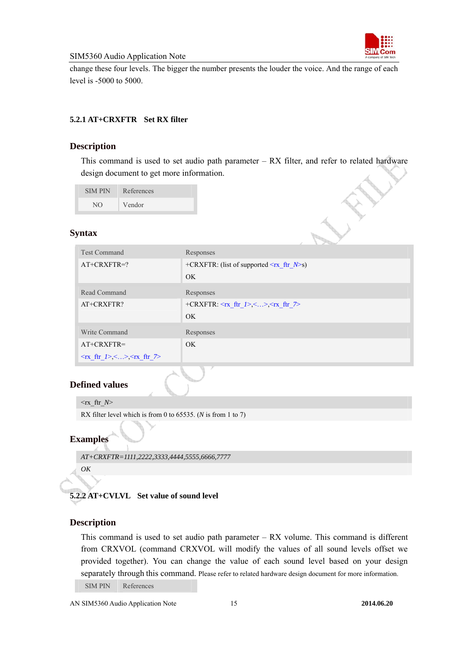

<span id="page-14-0"></span>change these four levels. The bigger the number presents the louder the voice. And the range of each level is -5000 to 5000.

#### **5.2.1 AT+CRXFTR Set RX filter**

#### **Description**

This command is used to set audio path parameter – RX filter, and refer to related hardware design document to get more information.

SIM PIN References NO Vendor

#### **Syntax**

| <b>Test Command</b>                                                                     | Responses                                                               |
|-----------------------------------------------------------------------------------------|-------------------------------------------------------------------------|
| $AT+CRXFTR=?$                                                                           | +CRXFTR: (list of supported $\leq$ rx ftr $N$ >s)                       |
|                                                                                         | OK                                                                      |
| Read Command                                                                            | Responses                                                               |
| AT+CRXFTR?                                                                              | $+$ CRXFTR: $\langle$ rx ftr $l$ >, $\langle$ >, $\langle$ rx ftr $l$ > |
|                                                                                         | OK.                                                                     |
| Write Command                                                                           | Responses                                                               |
| $AT+CRXFTR=$                                                                            | OK.                                                                     |
| $\langle Tx \text{ ftr}_2 \rangle, \langle x \rangle, \langle Tx \text{ ftr}_2 \rangle$ |                                                                         |

#### **Defined values**

 $\langle$ rx ftr *N* 

RX filter level which is from 0 to 65535. (*N* is from 1 to 7)

#### **Examples**

```
AT+CRXFTR=1111,2222,3333,4444,5555,6666,7777
```
*OK* 

# **5.2.2 AT+CVLVL Set value of sound level**

#### **Description**

This command is used to set audio path parameter  $- RX$  volume. This command is different from CRXVOL (command CRXVOL will modify the values of all sound levels offset we provided together). You can change the value of each sound level based on your design separately through this command. Please refer to related hardware design document for more information. SIM PIN References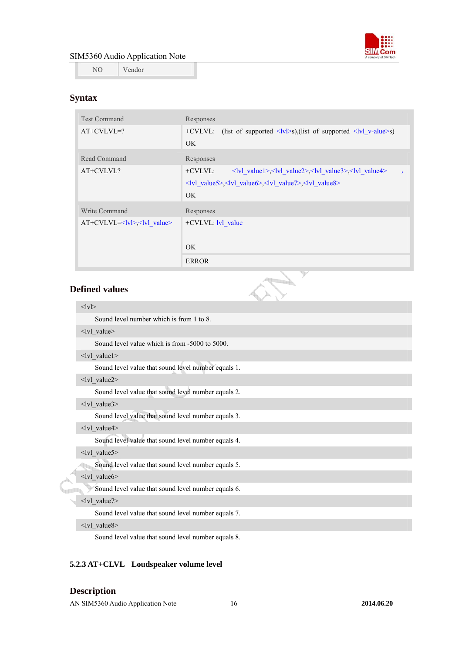

<span id="page-15-0"></span>NO Vendor

#### **Syntax**

| <b>Test Command</b>                | Responses                                                                                                                                  |
|------------------------------------|--------------------------------------------------------------------------------------------------------------------------------------------|
| $AT+CVLVL=?$                       | +CVLVL: (list of supported $\langle \text{lv} \rangle$ s),(list of supported $\langle \text{lv} \rangle$ v-alue>s)                         |
|                                    | OK.                                                                                                                                        |
| Read Command                       | Responses                                                                                                                                  |
| AT+CVLVL?                          | $+CVLVL:$<br>$\langle v \rangle$ value1>, $\langle v \rangle$ value2>, $\langle v \rangle$ value3>, $\langle v \rangle$ value4><br>$\cdot$ |
|                                    | $\langle v $ value $\langle v  v  v $ value $\langle v  v  v$ value $\langle v  v  v$ value $\langle v  v  v$                              |
|                                    | OK.                                                                                                                                        |
| Write Command                      | Responses                                                                                                                                  |
| $AT+CVLVL=< v >$ , $\lt v $ value> | $+CVLVL$ : $ v $ value                                                                                                                     |
|                                    |                                                                                                                                            |
|                                    | OK.                                                                                                                                        |
|                                    | <b>ERROR</b>                                                                                                                               |

#### **Defined values**

#### $<$ lvl $>$

Sound level number which is from 1 to 8.

<lvl value>

Sound level value which is from -5000 to 5000.

 $\langle$ lvl value1>

Sound level value that sound level number equals 1.

<lvl\_value2>

Sound level value that sound level number equals 2.

<lvl\_value3>

Sound level value that sound level number equals 3.

<lvl\_value4>

Sound level value that sound level number equals 4.

<lvl\_value5>

Sound level value that sound level number equals 5. đh

#### <lvl value6>

Sound level value that sound level number equals 6.

#### $\langle$ lvl value7>

Sound level value that sound level number equals 7.

#### <lvl\_value8>

Sound level value that sound level number equals 8.

#### **5.2.3 AT+CLVL Loudspeaker volume level**

#### **Description**

AN SIM5360 Audio Application Note16 **2014.06.20**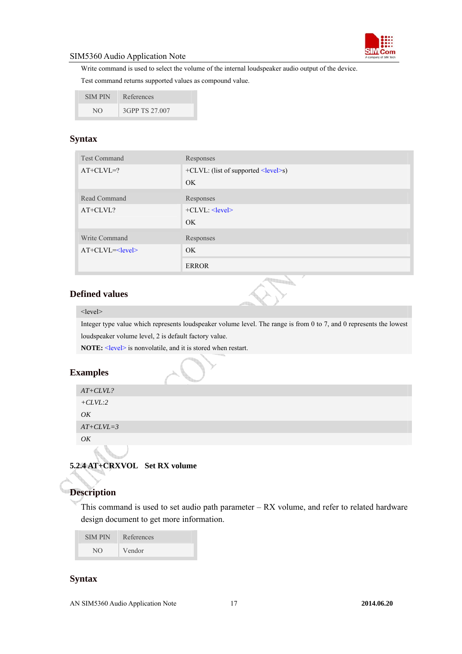

<span id="page-16-0"></span>Write command is used to select the volume of the internal loudspeaker audio output of the device.

Test command returns supported values as compound value.

| <b>SIMPIN</b> | References     |
|---------------|----------------|
| NO.           | 3GPP TS 27.007 |

# **Syntax**

| <b>Test Command</b> | Responses                                   |
|---------------------|---------------------------------------------|
| $AT+CLVL=?$         | $+CLVL$ : (list of supported $\le$ level>s) |
|                     | OK.                                         |
| Read Command        | Responses                                   |
| $AT+CLVL?$          | $+CLVL: \le$ level>                         |
|                     | OK.                                         |
| Write Command       | Responses                                   |
| $AT+CLVL=$          | OK.                                         |
|                     | <b>ERROR</b>                                |

#### **Defined values**



#### <level>

Integer type value which represents loudspeaker volume level. The range is from 0 to 7, and 0 represents the lowest loudspeaker volume level, 2 is default factory value.

**NOTE:**  $\le$  level> is nonvolatile, and it is stored when restart.

#### **Examples**

| $AT+CLVL$ ? |
|-------------|
| $+CLVL:2$   |
| OΚ          |
| $AT+CLVL=3$ |
| OК          |

# **5.2.4 AT+CRXVOL Set RX volume**

# **Description**

This command is used to set audio path parameter – RX volume, and refer to related hardware design document to get more information.

| <b>SIMPIN</b> | References |
|---------------|------------|
| NO.           | Vendor     |

#### **Syntax**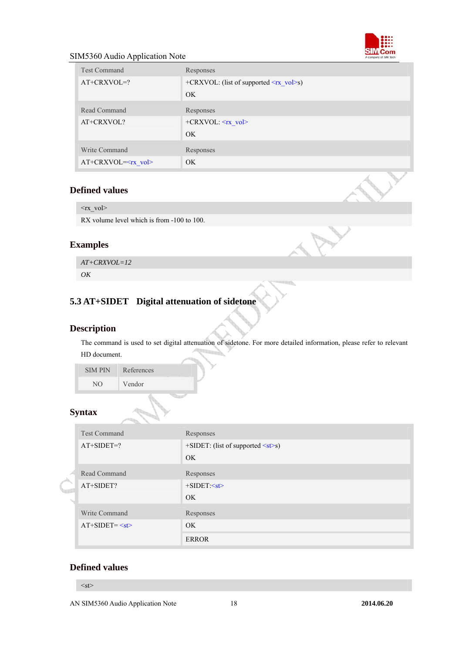

<span id="page-17-0"></span>

| <b>Test Command</b>         | Responses                                               |
|-----------------------------|---------------------------------------------------------|
| $AT+CRXVOL=?$               | +CRXVOL: (list of supported $\langle rx \rangle$ vol>s) |
|                             | OK                                                      |
| Read Command                | Responses                                               |
| AT+CRXVOL?                  | +CRXVOL: <rx vol=""></rx>                               |
|                             | OK                                                      |
| Write Command               | Responses                                               |
| AT+CRXVOL= <rx vol=""></rx> | OK.                                                     |

#### **Defined values**

 $\langle$ rx\_vol $>$ 

RX volume level which is from -100 to 100.

# **Examples**

*AT+CRXVOL=12 OK* 

# **5.3 AT+SIDET Digital attenuation of sidetone**

#### **Description**

The command is used to set digital attenuation of sidetone. For more detailed information, please refer to relevant HD document.

SIM PIN References NO Vendor

#### **Syntax**

|  | <b>Test Command</b> | Responses                                  |
|--|---------------------|--------------------------------------------|
|  | $AT+SIDET=?$        | $+$ SIDET: (list of supported $\leq$ st>s) |
|  |                     | OK                                         |
|  | Read Command        | Responses                                  |
|  | AT+SIDET?           | $+SIDET:~< st>$                            |
|  |                     | OK                                         |
|  | Write Command       | Responses                                  |
|  | $AT+SIDET = $       | OK                                         |
|  |                     | <b>ERROR</b>                               |

#### **Defined values**

 $<$ st $>$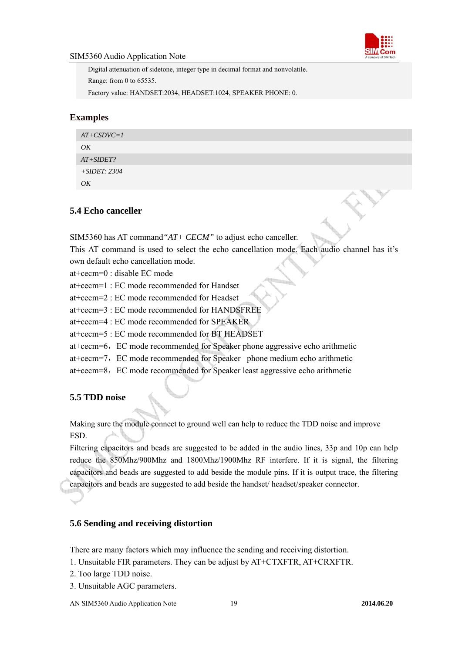

<span id="page-18-0"></span>Digital attenuation of sidetone, integer type in decimal format and nonvolatile. Range: from 0 to 65535. Factory value: HANDSET:2034, HEADSET:1024, SPEAKER PHONE: 0.

#### **Examples**

| $AT+CSDVC=1$   |  |
|----------------|--|
| OK             |  |
| $AT+SIDET?$    |  |
| $+SIDET: 2304$ |  |
| OK             |  |

#### **5.4 Echo canceller**

SIM5360 has AT command*"AT+ CECM"* to adjust echo canceller.

This AT command is used to select the echo cancellation mode. Each audio channel has it's own default echo cancellation mode.

at+cecm=0 : disable EC mode

at+cecm=1 : EC mode recommended for Handset

at+cecm=2 : EC mode recommended for Headset

at+cecm=3 : EC mode recommended for HANDSFREE

at+cecm=4 : EC mode recommended for SPEAKER

at+cecm=5 : EC mode recommended for BT HEADSET

at+cecm=6,EC mode recommended for Speaker phone aggressive echo arithmetic

at+cecm=7,EC mode recommended for Speaker phone medium echo arithmetic

at+cecm=8,EC mode recommended for Speaker least aggressive echo arithmetic

# **5.5 TDD noise**

Making sure the module connect to ground well can help to reduce the TDD noise and improve ESD.

Filtering capacitors and beads are suggested to be added in the audio lines, 33p and 10p can help reduce the 850Mhz/900Mhz and 1800Mhz/1900Mhz RF interfere. If it is signal, the filtering capacitors and beads are suggested to add beside the module pins. If it is output trace, the filtering capacitors and beads are suggested to add beside the handset/ headset/speaker connector.

#### **5.6 Sending and receiving distortion**

There are many factors which may influence the sending and receiving distortion.

1. Unsuitable FIR parameters. They can be adjust by AT+CTXFTR, AT+CRXFTR.

- 2. Too large TDD noise.
- 3. Unsuitable AGC parameters.

AN SIM5360 Audio Application Note19 **2014.06.20**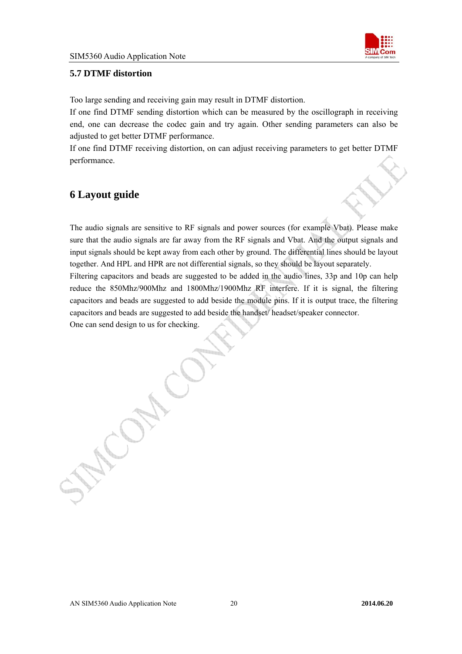

#### <span id="page-19-0"></span>**5.7 DTMF distortion**

Too large sending and receiving gain may result in DTMF distortion.

If one find DTMF sending distortion which can be measured by the oscillograph in receiving end, one can decrease the codec gain and try again. Other sending parameters can also be adjusted to get better DTMF performance.

If one find DTMF receiving distortion, on can adjust receiving parameters to get better DTMF performance.

# **6 Layout guide**

The audio signals are sensitive to RF signals and power sources (for example Vbat). Please make sure that the audio signals are far away from the RF signals and Vbat. And the output signals and input signals should be kept away from each other by ground. The differential lines should be layout together. And HPL and HPR are not differential signals, so they should be layout separately.

Filtering capacitors and beads are suggested to be added in the audio lines, 33p and 10p can help reduce the 850Mhz/900Mhz and 1800Mhz/1900Mhz RF interfere. If it is signal, the filtering capacitors and beads are suggested to add beside the module pins. If it is output trace, the filtering capacitors and beads are suggested to add beside the handset/ headset/speaker connector.

One can send design to us for checking.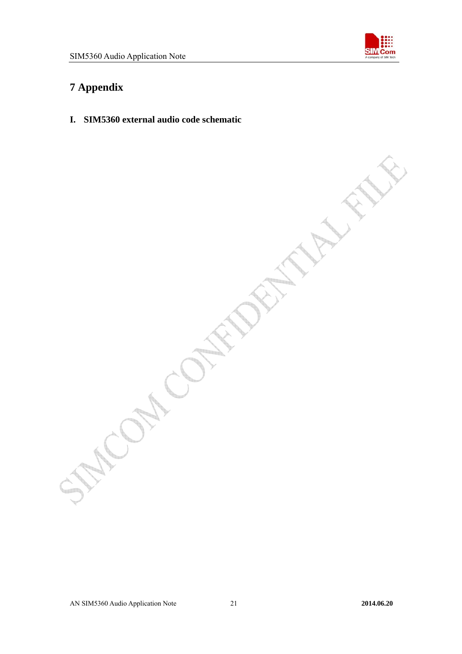

# <span id="page-20-0"></span>**7 Appendix**

**I. SIM5360 external audio code schematic**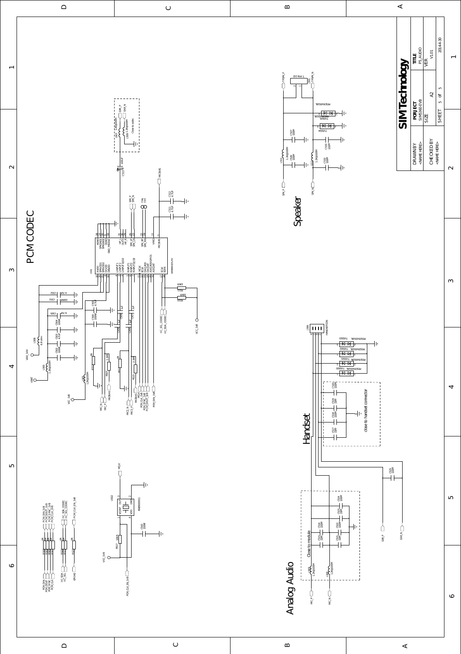

 $\hfill \Box$ 

 $\bigcup$ 

 $\mathbb B$ 

 $\prec$